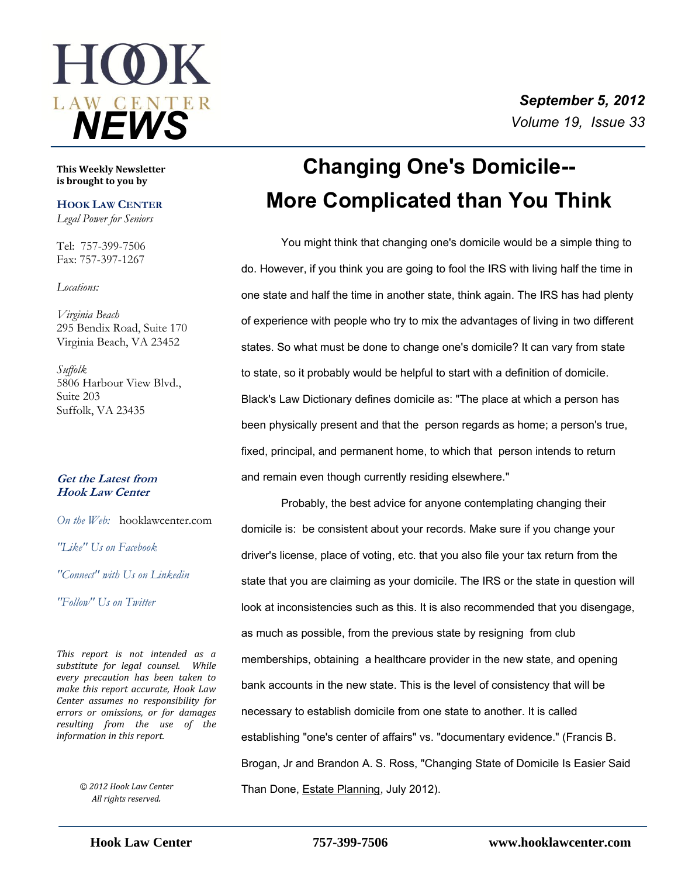

#### **This Weekly Newsletter is brought to you by**

### **HOOK LAW CENTER**

*Legal Power for Seniors*

Tel: 757-399-7506 Fax: 757-397-1267

*Locations:*

*Virginia Beach* 295 Bendix Road, Suite 170 Virginia Beach, VA 23452

*Suffolk* 5806 Harbour View Blvd., Suite 203 Suffolk, VA 23435

### **Get the Latest from Hook Law Center**

*On the Web:* [hooklawcenter.com](http://www.hooklawcenter.com/)

*"Like" Us on Facebook*

*"Connect" with Us on Linkedin*

*"Follow" Us on Twitter*

*This report is not intended as a substitute for legal counsel. While every precaution has been taken to make this report accurate, Hook Law Center assumes no responsibility for errors or omissions, or for damages resulting from the use of the information in this report.*

*All rights reserved.*

# **Changing One's Domicile-- More Complicated than You Think**

You might think that changing one's domicile would be a simple thing to do. However, if you think you are going to fool the IRS with living half the time in one state and half the time in another state, think again. The IRS has had plenty of experience with people who try to mix the advantages of living in two different states. So what must be done to change one's domicile? It can vary from state to state, so it probably would be helpful to start with a definition of domicile. Black's Law Dictionary defines domicile as: "The place at which a person has been physically present and that the person regards as home; a person's true, fixed, principal, and permanent home, to which that person intends to return and remain even though currently residing elsewhere."

Probably, the best advice for anyone contemplating changing their domicile is: be consistent about your records. Make sure if you change your driver's license, place of voting, etc. that you also file your tax return from the state that you are claiming as your domicile. The IRS or the state in question will look at inconsistencies such as this. It is also recommended that you disengage, as much as possible, from the previous state by resigning from club memberships, obtaining a healthcare provider in the new state, and opening bank accounts in the new state. This is the level of consistency that will be necessary to establish domicile from one state to another. It is called establishing "one's center of affairs" vs. "documentary evidence." (Francis B. Brogan, Jr and Brandon A. S. Ross, "Changing State of Domicile Is Easier Said Than Done, Estate Planning, July 2012). *© 2012 Hook Law Center*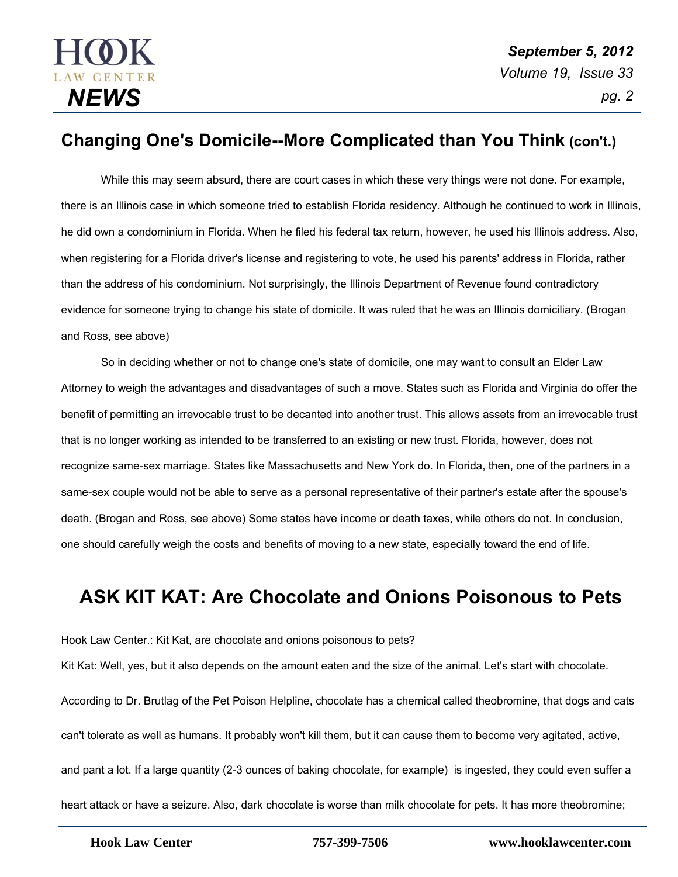

### **Changing One's Domicile--More Complicated than You Think(con't.)**

While this may seem absurd, there are court cases in which these very things were not done. For example, there is an Illinois case in which someone tried to establish Florida residency. Although he continued to work in Illinois, he did own a condominium in Florida. When he filed his federal tax return, however, he used his Illinois address. Also, when registering for a Florida driver's license and registering to vote, he used his parents' address in Florida, rather than the address of his condominium. Not surprisingly, the Illinois Department of Revenue found contradictory evidence for someone trying to change his state of domicile. It was ruled that he was an Illinois domiciliary. (Brogan and Ross, see above)

So in deciding whether or not to change one's state of domicile, one may want to consult an Elder Law Attorney to weigh the advantages and disadvantages of such a move. States such as Florida and Virginia do offer the benefit of permitting an irrevocable trust to be decanted into another trust. This allows assets from an irrevocable trust that is no longer working as intended to be transferred to an existing or new trust. Florida, however, does not recognize same-sex marriage. States like Massachusetts and New York do. In Florida, then, one of the partners in a same-sex couple would not be able to serve as a personal representative of their partner's estate after the spouse's death. (Brogan and Ross, see above) Some states have income or death taxes, while others do not. In conclusion, one should carefully weigh the costs and benefits of moving to a new state, especially toward the end of life.

# **ASK KIT KAT: Are Chocolate and Onions Poisonous to Pets**

Hook Law Center.: Kit Kat, are chocolate and onions poisonous to pets?

Kit Kat: Well, yes, but it also depends on the amount eaten and the size of the animal. Let's start with chocolate. According to Dr. Brutlag of the Pet Poison Helpline, chocolate has a chemical called theobromine, that dogs and cats can't tolerate as well as humans. It probably won't kill them, but it can cause them to become very agitated, active, and pant a lot. If a large quantity (2-3 ounces of baking chocolate, for example) is ingested, they could even suffer a heart attack or have a seizure. Also, dark chocolate is worse than milk chocolate for pets. It has more theobromine;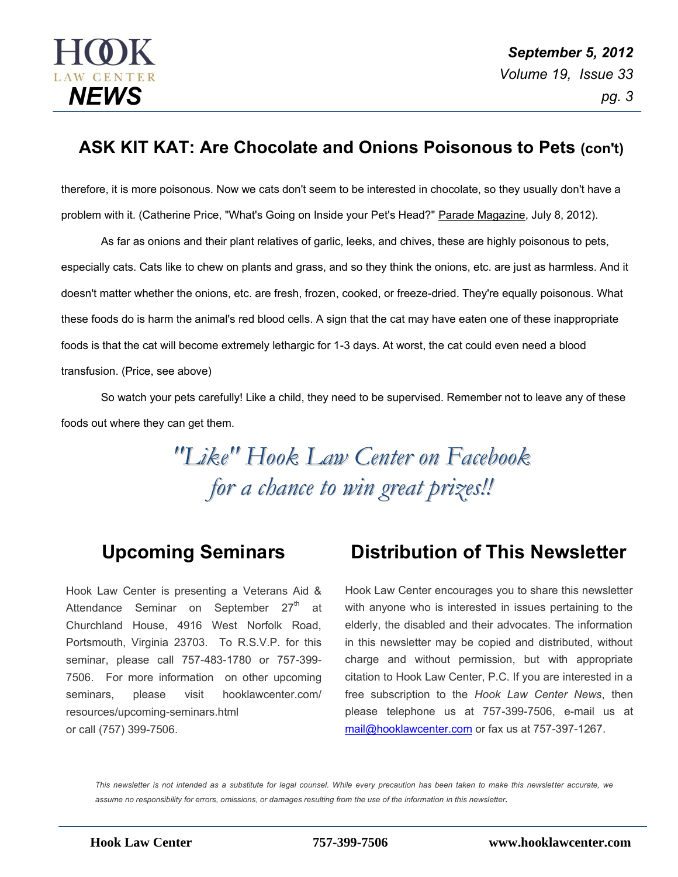

### **ASK KIT KAT: Are Chocolate and Onions Poisonous to Pets (con't)**

therefore, it is more poisonous. Now we cats don't seem to be interested in chocolate, so they usually don't have a problem with it. (Catherine Price, "What's Going on Inside your Pet's Head?" Parade Magazine, July 8, 2012).

As far as onions and their plant relatives of garlic, leeks, and chives, these are highly poisonous to pets, especially cats. Cats like to chew on plants and grass, and so they think the onions, etc. are just as harmless. And it doesn't matter whether the onions, etc. are fresh, frozen, cooked, or freeze-dried. They're equally poisonous. What these foods do is harm the animal's red blood cells. A sign that the cat may have eaten one of these inappropriate foods is that the cat will become extremely lethargic for 1-3 days. At worst, the cat could even need a blood transfusion. (Price, see above)

So watch your pets carefully! Like a child, they need to be supervised. Remember not to leave any of these foods out where they can get them.

> *"Like" Hook Law Center on Facebook for a chance to win great prizes!!*

### **Upcoming Seminars**

Hook Law Center is presenting a Veterans Aid & Attendance Seminar on September  $27<sup>th</sup>$  at Churchland House, 4916 West Norfolk Road, Portsmouth, Virginia 23703. To R.S.V.P. for this seminar, please call 757-483-1780 or 757-399- 7506. For more information on other upcoming seminars, please visit hooklawcenter.com/ resources/upcoming-seminars.html or call (757) 399-7506.

## **Distribution of This Newsletter**

Hook Law Center encourages you to share this newsletter with anyone who is interested in issues pertaining to the elderly, the disabled and their advocates. The information in this newsletter may be copied and distributed, without charge and without permission, but with appropriate citation to Hook Law Center, P.C. If you are interested in a free subscription to the *Hook Law Center News*, then please telephone us at 757-399-7506, e-mail us at [mail@hooklawcenter.com](mailto:mail@hooklawcenter.com) or fax us at 757-397-1267.

*This newsletter is not intended as a substitute for legal counsel. While every precaution has been taken to make this newsletter accurate, we assume no responsibility for errors, omissions, or damages resulting from the use of the information in this newsletter.*